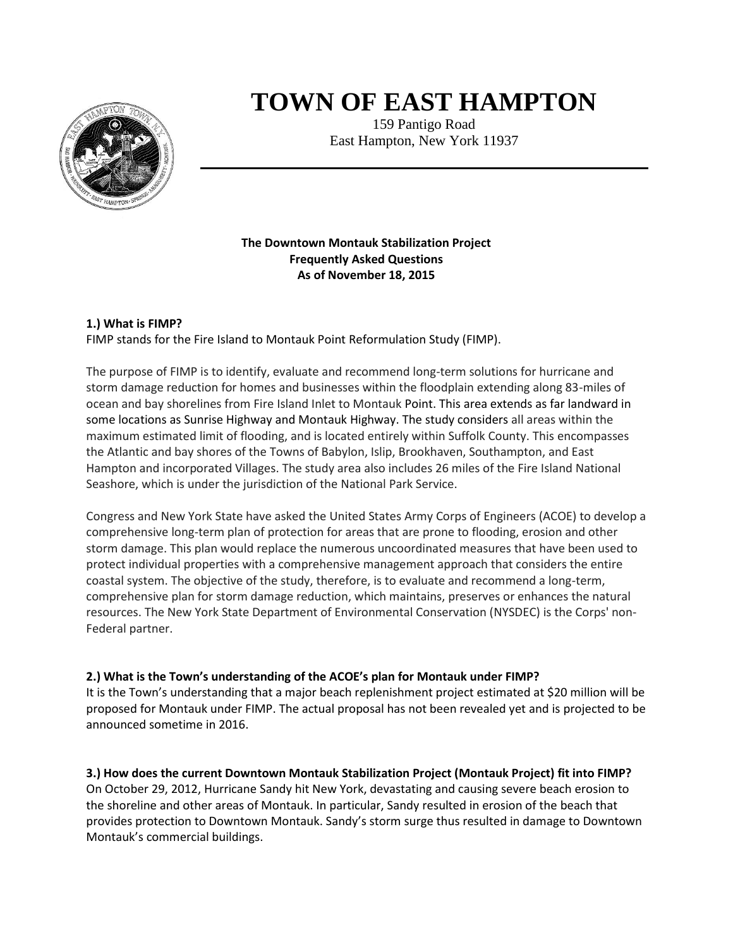

# **TOWN OF EAST HAMPTON**

159 Pantigo Road East Hampton, New York 11937

## **The Downtown Montauk Stabilization Project Frequently Asked Questions As of November 18, 2015**

## **1.) What is FIMP?**

FIMP stands for the Fire Island to Montauk Point Reformulation Study (FIMP).

The purpose of FIMP is to identify, evaluate and recommend long-term solutions for hurricane and storm damage reduction for homes and businesses within the floodplain extending along 83-miles of ocean and bay shorelines from Fire Island Inlet to Montauk Point. This area extends as far landward in some locations as Sunrise Highway and Montauk Highway. The study considers all areas within the maximum estimated limit of flooding, and is located entirely within Suffolk County. This encompasses the Atlantic and bay shores of the Towns of Babylon, Islip, Brookhaven, Southampton, and East Hampton and incorporated Villages. The study area also includes 26 miles of the Fire Island National Seashore, which is under the jurisdiction of the National Park Service.

Congress and New York State have asked the United States Army Corps of Engineers (ACOE) to develop a comprehensive long-term plan of protection for areas that are prone to flooding, erosion and other storm damage. This plan would replace the numerous uncoordinated measures that have been used to protect individual properties with a comprehensive management approach that considers the entire coastal system. The objective of the study, therefore, is to evaluate and recommend a long-term, comprehensive plan for storm damage reduction, which maintains, preserves or enhances the natural resources. The New York State Department of Environmental Conservation (NYSDEC) is the Corps' non-Federal partner.

## **2.) What is the Town's understanding of the ACOE's plan for Montauk under FIMP?**

It is the Town's understanding that a major beach replenishment project estimated at \$20 million will be proposed for Montauk under FIMP. The actual proposal has not been revealed yet and is projected to be announced sometime in 2016.

# **3.) How does the current Downtown Montauk Stabilization Project (Montauk Project) fit into FIMP?**

On October 29, 2012, Hurricane Sandy hit New York, devastating and causing severe beach erosion to the shoreline and other areas of Montauk. In particular, Sandy resulted in erosion of the beach that provides protection to Downtown Montauk. Sandy's storm surge thus resulted in damage to Downtown Montauk's commercial buildings.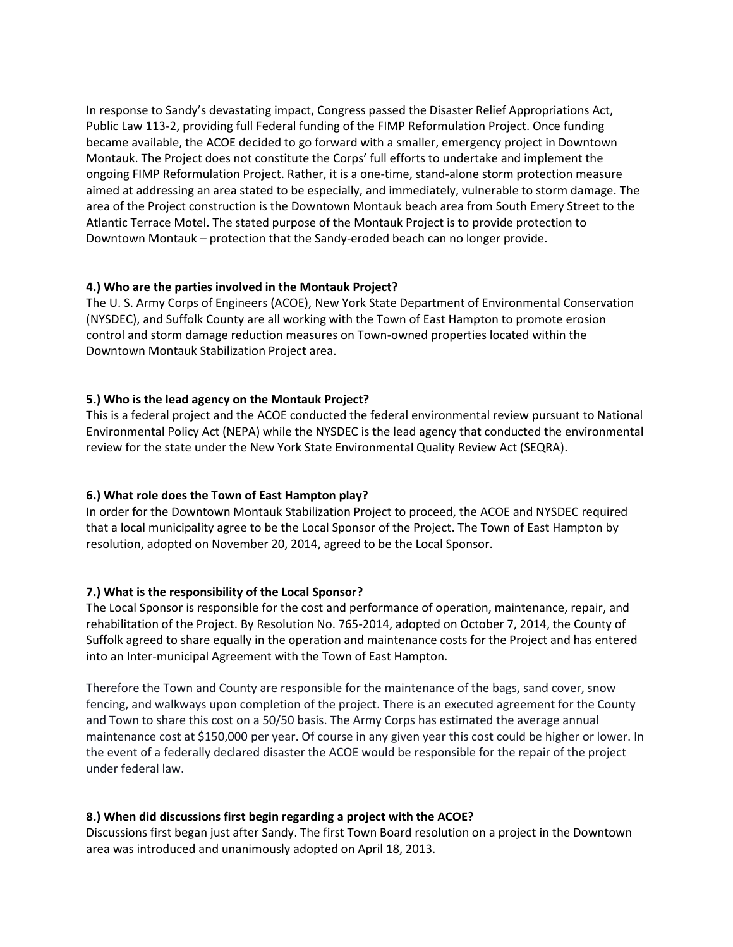In response to Sandy's devastating impact, Congress passed the Disaster Relief Appropriations Act, Public Law 113-2, providing full Federal funding of the FIMP Reformulation Project. Once funding became available, the ACOE decided to go forward with a smaller, emergency project in Downtown Montauk. The Project does not constitute the Corps' full efforts to undertake and implement the ongoing FIMP Reformulation Project. Rather, it is a one-time, stand-alone storm protection measure aimed at addressing an area stated to be especially, and immediately, vulnerable to storm damage. The area of the Project construction is the Downtown Montauk beach area from South Emery Street to the Atlantic Terrace Motel. The stated purpose of the Montauk Project is to provide protection to Downtown Montauk – protection that the Sandy-eroded beach can no longer provide.

#### **4.) Who are the parties involved in the Montauk Project?**

The U. S. Army Corps of Engineers (ACOE), New York State Department of Environmental Conservation (NYSDEC), and Suffolk County are all working with the Town of East Hampton to promote erosion control and storm damage reduction measures on Town-owned properties located within the Downtown Montauk Stabilization Project area.

## **5.) Who is the lead agency on the Montauk Project?**

This is a federal project and the ACOE conducted the federal environmental review pursuant to National Environmental Policy Act (NEPA) while the NYSDEC is the lead agency that conducted the environmental review for the state under the New York State Environmental Quality Review Act (SEQRA).

## **6.) What role does the Town of East Hampton play?**

In order for the Downtown Montauk Stabilization Project to proceed, the ACOE and NYSDEC required that a local municipality agree to be the Local Sponsor of the Project. The Town of East Hampton by resolution, adopted on November 20, 2014, agreed to be the Local Sponsor.

#### **7.) What is the responsibility of the Local Sponsor?**

The Local Sponsor is responsible for the cost and performance of operation, maintenance, repair, and rehabilitation of the Project. By Resolution No. 765-2014, adopted on October 7, 2014, the County of Suffolk agreed to share equally in the operation and maintenance costs for the Project and has entered into an Inter-municipal Agreement with the Town of East Hampton.

Therefore the Town and County are responsible for the maintenance of the bags, sand cover, snow fencing, and walkways upon completion of the project. There is an executed agreement for the County and Town to share this cost on a 50/50 basis. The Army Corps has estimated the average annual maintenance cost at \$150,000 per year. Of course in any given year this cost could be higher or lower. In the event of a federally declared disaster the ACOE would be responsible for the repair of the project under federal law.

## **8.) When did discussions first begin regarding a project with the ACOE?**

Discussions first began just after Sandy. The first Town Board resolution on a project in the Downtown area was introduced and unanimously adopted on April 18, 2013.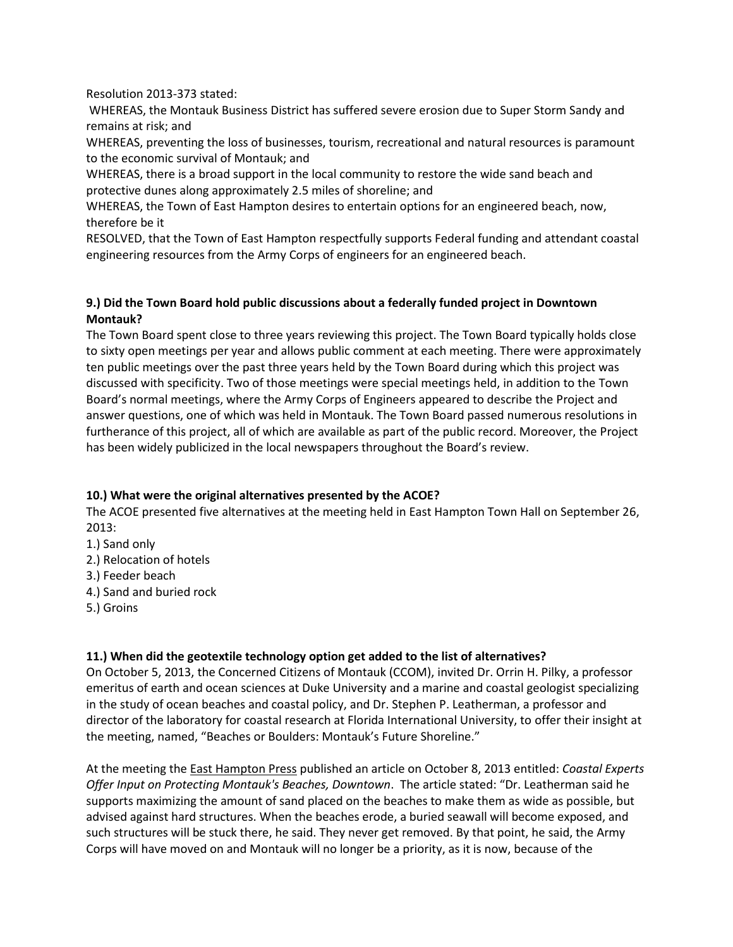Resolution 2013-373 stated:

WHEREAS, the Montauk Business District has suffered severe erosion due to Super Storm Sandy and remains at risk; and

WHEREAS, preventing the loss of businesses, tourism, recreational and natural resources is paramount to the economic survival of Montauk; and

WHEREAS, there is a broad support in the local community to restore the wide sand beach and protective dunes along approximately 2.5 miles of shoreline; and

WHEREAS, the Town of East Hampton desires to entertain options for an engineered beach, now, therefore be it

RESOLVED, that the Town of East Hampton respectfully supports Federal funding and attendant coastal engineering resources from the Army Corps of engineers for an engineered beach.

## **9.) Did the Town Board hold public discussions about a federally funded project in Downtown Montauk?**

The Town Board spent close to three years reviewing this project. The Town Board typically holds close to sixty open meetings per year and allows public comment at each meeting. There were approximately ten public meetings over the past three years held by the Town Board during which this project was discussed with specificity. Two of those meetings were special meetings held, in addition to the Town Board's normal meetings, where the Army Corps of Engineers appeared to describe the Project and answer questions, one of which was held in Montauk. The Town Board passed numerous resolutions in furtherance of this project, all of which are available as part of the public record. Moreover, the Project has been widely publicized in the local newspapers throughout the Board's review.

## **10.) What were the original alternatives presented by the ACOE?**

The ACOE presented five alternatives at the meeting held in East Hampton Town Hall on September 26, 2013:

- 1.) Sand only
- 2.) Relocation of hotels
- 3.) Feeder beach
- 4.) Sand and buried rock
- 5.) Groins

## **11.) When did the geotextile technology option get added to the list of alternatives?**

On October 5, 2013, the Concerned Citizens of Montauk (CCOM), invited Dr. Orrin H. Pilky, a professor emeritus of earth and ocean sciences at Duke University and a marine and coastal geologist specializing in the study of ocean beaches and coastal policy, and Dr. Stephen P. Leatherman, a professor and director of the laboratory for coastal research at Florida International University, to offer their insight at the meeting, named, "Beaches or Boulders: Montauk's Future Shoreline."

At the meeting the East Hampton Press published an article on October 8, 2013 entitled: *Coastal Experts Offer Input on Protecting Montauk's Beaches, Downtown*. The article stated: "Dr. Leatherman said he supports maximizing the amount of sand placed on the beaches to make them as wide as possible, but advised against hard structures. When the beaches erode, a buried seawall will become exposed, and such structures will be stuck there, he said. They never get removed. By that point, he said, the Army Corps will have moved on and Montauk will no longer be a priority, as it is now, because of the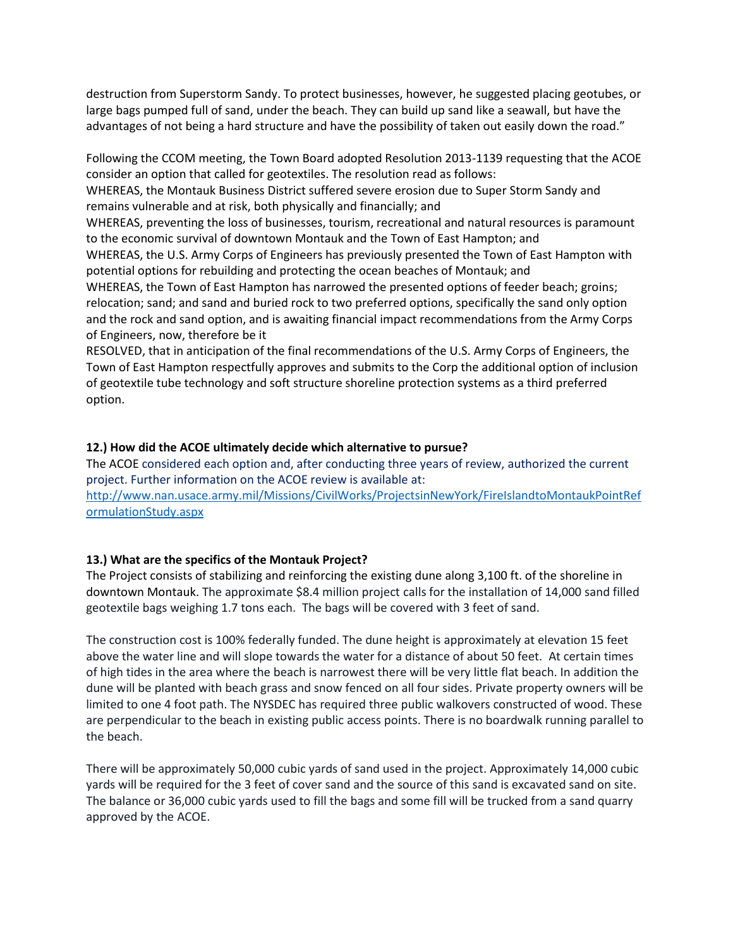destruction from Superstorm Sandy. To protect businesses, however, he suggested placing geotubes, or large bags pumped full of sand, under the beach. They can build up sand like a seawall, but have the advantages of not being a hard structure and have the possibility of taken out easily down the road."

Following the CCOM meeting, the Town Board adopted Resolution 2013-1139 requesting that the ACOE consider an option that called for geotextiles. The resolution read as follows: WHEREAS, the Montauk Business District suffered severe erosion due to Super Storm Sandy and remains vulnerable and at risk, both physically and financially; and WHEREAS, preventing the loss of businesses, tourism, recreational and natural resources is paramount to the economic survival of downtown Montauk and the Town of East Hampton; and WHEREAS, the U.S. Army Corps of Engineers has previously presented the Town of East Hampton with potential options for rebuilding and protecting the ocean beaches of Montauk; and WHEREAS, the Town of East Hampton has narrowed the presented options of feeder beach; groins; relocation; sand; and sand and buried rock to two preferred options, specifically the sand only option and the rock and sand option, and is awaiting financial impact recommendations from the Army Corps

of Engineers, now, therefore be it

RESOLVED, that in anticipation of the final recommendations of the U.S. Army Corps of Engineers, the Town of East Hampton respectfully approves and submits to the Corp the additional option of inclusion of geotextile tube technology and soft structure shoreline protection systems as a third preferred option.

#### **12.) How did the ACOE ultimately decide which alternative to pursue?**

The ACOE considered each option and, after conducting three years of review, authorized the current project. Further information on the ACOE review is available at: [http://www.nan.usace.army.mil/Missions/CivilWorks/ProjectsinNewYork/FireIslandtoMontaukPointRef](http://www.nan.usace.army.mil/Missions/CivilWorks/ProjectsinNewYork/FireIslandtoMontaukPointReformulationStudy.aspx) [ormulationStudy.aspx](http://www.nan.usace.army.mil/Missions/CivilWorks/ProjectsinNewYork/FireIslandtoMontaukPointReformulationStudy.aspx)

#### **13.) What are the specifics of the Montauk Project?**

The Project consists of stabilizing and reinforcing the existing dune along 3,100 ft. of the shoreline in downtown Montauk. The approximate \$8.4 million project calls for the installation of 14,000 sand filled geotextile bags weighing 1.7 tons each. The bags will be covered with 3 feet of sand.

The construction cost is 100% federally funded. The dune height is approximately at elevation 15 feet above the water line and will slope towards the water for a distance of about 50 feet. At certain times of high tides in the area where the beach is narrowest there will be very little flat beach. In addition the dune will be planted with beach grass and snow fenced on all four sides. Private property owners will be limited to one 4 foot path. The NYSDEC has required three public walkovers constructed of wood. These are perpendicular to the beach in existing public access points. There is no boardwalk running parallel to the beach.

There will be approximately 50,000 cubic yards of sand used in the project. Approximately 14,000 cubic yards will be required for the 3 feet of cover sand and the source of this sand is excavated sand on site. The balance or 36,000 cubic yards used to fill the bags and some fill will be trucked from a sand quarry approved by the ACOE.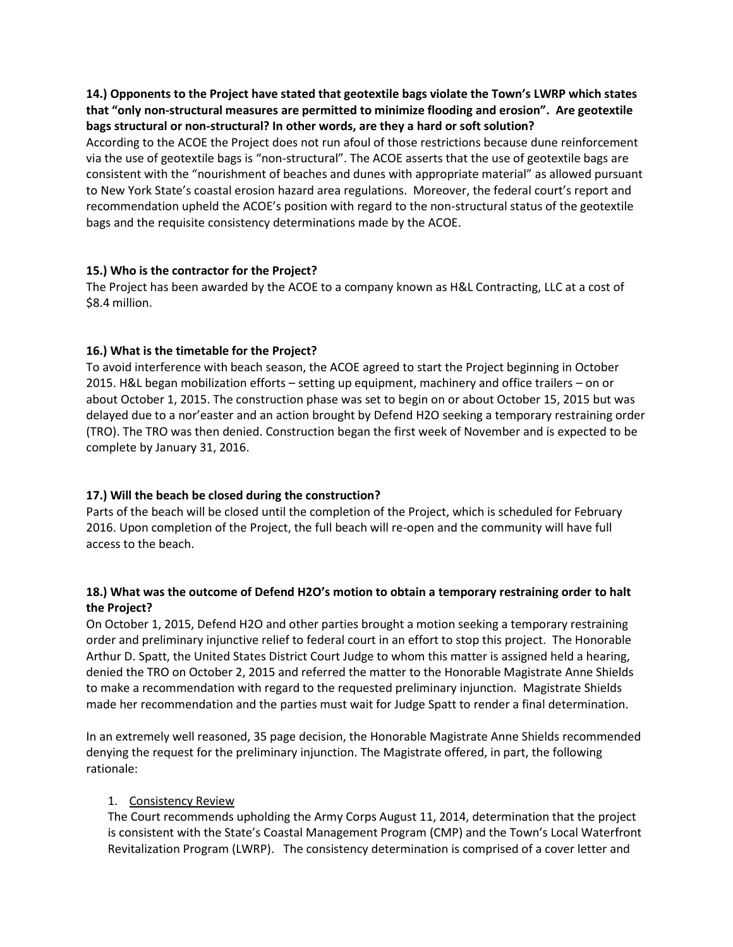**14.) Opponents to the Project have stated that geotextile bags violate the Town's LWRP which states that "only non-structural measures are permitted to minimize flooding and erosion". Are geotextile bags structural or non-structural? In other words, are they a hard or soft solution?** 

According to the ACOE the Project does not run afoul of those restrictions because dune reinforcement via the use of geotextile bags is "non-structural". The ACOE asserts that the use of geotextile bags are consistent with the "nourishment of beaches and dunes with appropriate material" as allowed pursuant to New York State's coastal erosion hazard area regulations. Moreover, the federal court's report and recommendation upheld the ACOE's position with regard to the non-structural status of the geotextile bags and the requisite consistency determinations made by the ACOE.

#### **15.) Who is the contractor for the Project?**

The Project has been awarded by the ACOE to a company known as H&L Contracting, LLC at a cost of \$8.4 million.

#### **16.) What is the timetable for the Project?**

To avoid interference with beach season, the ACOE agreed to start the Project beginning in October 2015. H&L began mobilization efforts – setting up equipment, machinery and office trailers – on or about October 1, 2015. The construction phase was set to begin on or about October 15, 2015 but was delayed due to a nor'easter and an action brought by Defend H2O seeking a temporary restraining order (TRO). The TRO was then denied. Construction began the first week of November and is expected to be complete by January 31, 2016.

#### **17.) Will the beach be closed during the construction?**

Parts of the beach will be closed until the completion of the Project, which is scheduled for February 2016. Upon completion of the Project, the full beach will re-open and the community will have full access to the beach.

#### **18.) What was the outcome of Defend H2O's motion to obtain a temporary restraining order to halt the Project?**

On October 1, 2015, Defend H2O and other parties brought a motion seeking a temporary restraining order and preliminary injunctive relief to federal court in an effort to stop this project. The Honorable Arthur D. Spatt, the United States District Court Judge to whom this matter is assigned held a hearing, denied the TRO on October 2, 2015 and referred the matter to the Honorable Magistrate Anne Shields to make a recommendation with regard to the requested preliminary injunction. Magistrate Shields made her recommendation and the parties must wait for Judge Spatt to render a final determination.

In an extremely well reasoned, 35 page decision, the Honorable Magistrate Anne Shields recommended denying the request for the preliminary injunction. The Magistrate offered, in part, the following rationale:

#### 1. Consistency Review

The Court recommends upholding the Army Corps August 11, 2014, determination that the project is consistent with the State's Coastal Management Program (CMP) and the Town's Local Waterfront Revitalization Program (LWRP). The consistency determination is comprised of a cover letter and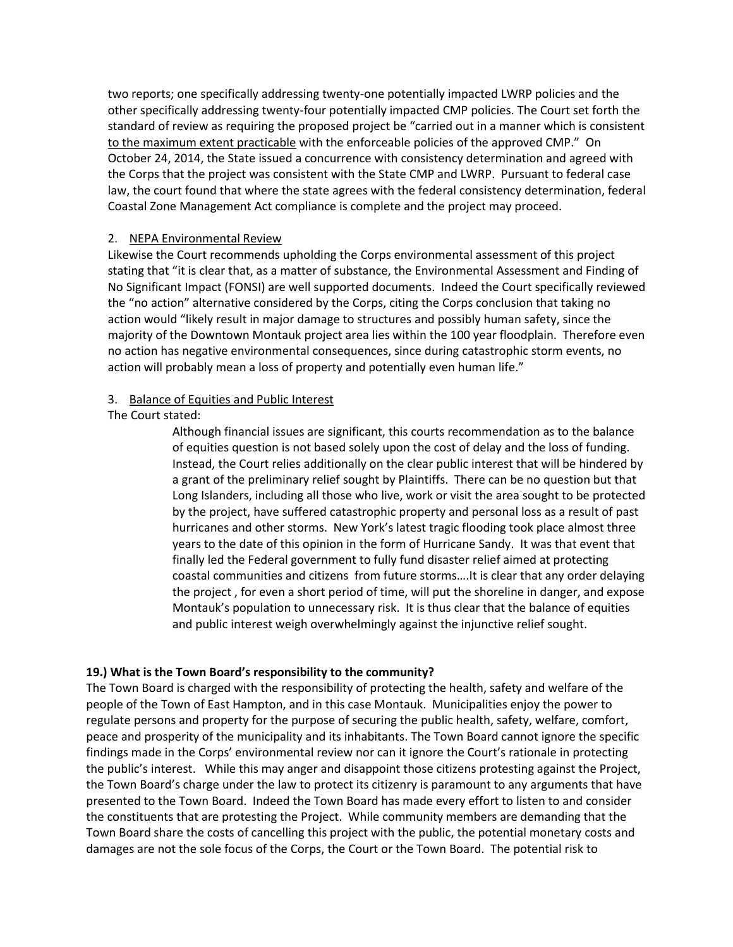two reports; one specifically addressing twenty-one potentially impacted LWRP policies and the other specifically addressing twenty-four potentially impacted CMP policies. The Court set forth the standard of review as requiring the proposed project be "carried out in a manner which is consistent to the maximum extent practicable with the enforceable policies of the approved CMP." On October 24, 2014, the State issued a concurrence with consistency determination and agreed with the Corps that the project was consistent with the State CMP and LWRP. Pursuant to federal case law, the court found that where the state agrees with the federal consistency determination, federal Coastal Zone Management Act compliance is complete and the project may proceed.

#### 2. NEPA Environmental Review

Likewise the Court recommends upholding the Corps environmental assessment of this project stating that "it is clear that, as a matter of substance, the Environmental Assessment and Finding of No Significant Impact (FONSI) are well supported documents. Indeed the Court specifically reviewed the "no action" alternative considered by the Corps, citing the Corps conclusion that taking no action would "likely result in major damage to structures and possibly human safety, since the majority of the Downtown Montauk project area lies within the 100 year floodplain. Therefore even no action has negative environmental consequences, since during catastrophic storm events, no action will probably mean a loss of property and potentially even human life."

### 3. Balance of Equities and Public Interest

The Court stated:

Although financial issues are significant, this courts recommendation as to the balance of equities question is not based solely upon the cost of delay and the loss of funding. Instead, the Court relies additionally on the clear public interest that will be hindered by a grant of the preliminary relief sought by Plaintiffs. There can be no question but that Long Islanders, including all those who live, work or visit the area sought to be protected by the project, have suffered catastrophic property and personal loss as a result of past hurricanes and other storms. New York's latest tragic flooding took place almost three years to the date of this opinion in the form of Hurricane Sandy. It was that event that finally led the Federal government to fully fund disaster relief aimed at protecting coastal communities and citizens from future storms….It is clear that any order delaying the project , for even a short period of time, will put the shoreline in danger, and expose Montauk's population to unnecessary risk. It is thus clear that the balance of equities and public interest weigh overwhelmingly against the injunctive relief sought.

## **19.) What is the Town Board's responsibility to the community?**

The Town Board is charged with the responsibility of protecting the health, safety and welfare of the people of the Town of East Hampton, and in this case Montauk. Municipalities enjoy the power to regulate persons and property for the purpose of securing the public health, safety, welfare, comfort, peace and prosperity of the municipality and its inhabitants. The Town Board cannot ignore the specific findings made in the Corps' environmental review nor can it ignore the Court's rationale in protecting the public's interest. While this may anger and disappoint those citizens protesting against the Project, the Town Board's charge under the law to protect its citizenry is paramount to any arguments that have presented to the Town Board. Indeed the Town Board has made every effort to listen to and consider the constituents that are protesting the Project. While community members are demanding that the Town Board share the costs of cancelling this project with the public, the potential monetary costs and damages are not the sole focus of the Corps, the Court or the Town Board. The potential risk to